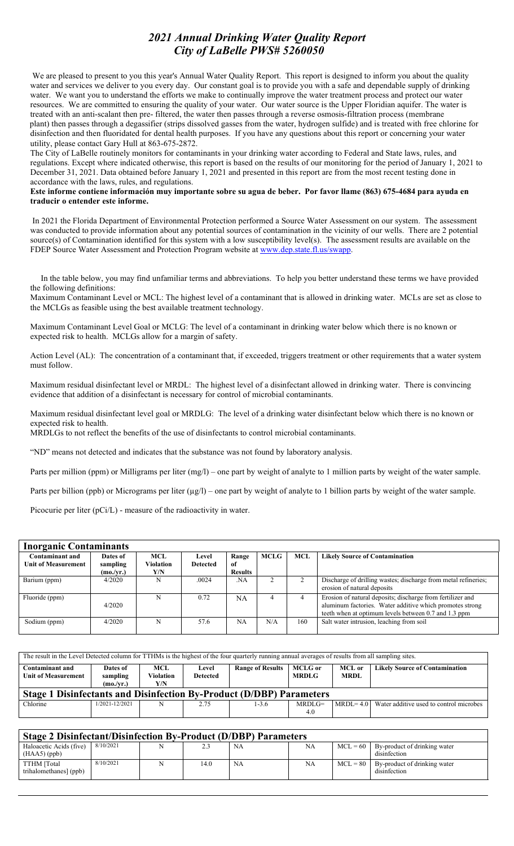## *2021 Annual Drinking Water Quality Report City of LaBelle PWS# 5260050*

We are pleased to present to you this year's Annual Water Quality Report. This report is designed to inform you about the quality water and services we deliver to you every day. Our constant goal is to provide you with a safe and dependable supply of drinking water. We want you to understand the efforts we make to continually improve the water treatment process and protect our water resources. We are committed to ensuring the quality of your water. Our water source is the Upper Floridian aquifer. The water is treated with an anti-scalant then pre- filtered, the water then passes through a reverse osmosis-filtration process (membrane plant) then passes through a degassifier (strips dissolved gasses from the water, hydrogen sulfide) and is treated with free chlorine for disinfection and then fluoridated for dental health purposes. If you have any questions about this report or concerning your water utility, please contact Gary Hull at 863-675-2872.

The City of LaBelle routinely monitors for contaminants in your drinking water according to Federal and State laws, rules, and regulations. Except where indicated otherwise, this report is based on the results of our monitoring for the period of January 1, 2021 to December 31, 2021. Data obtained before January 1, 2021 and presented in this report are from the most recent testing done in accordance with the laws, rules, and regulations.

## **Este informe contiene información muy importante sobre su agua de beber. Por favor llame (863) 675-4684 para ayuda en traducir o entender este informe.**

 In 2021 the Florida Department of Environmental Protection performed a Source Water Assessment on our system. The assessment was conducted to provide information about any potential sources of contamination in the vicinity of our wells. There are 2 potential source(s) of Contamination identified for this system with a low susceptibility level(s). The assessment results are available on the FDEP Source Water Assessment and Protection Program website at [www.dep.state.fl.us/swapp.](http://www.dep.state.fl.us/swapp)

 In the table below, you may find unfamiliar terms and abbreviations. To help you better understand these terms we have provided the following definitions:

Maximum Contaminant Level or MCL: The highest level of a contaminant that is allowed in drinking water. MCLs are set as close to the MCLGs as feasible using the best available treatment technology.

Maximum Contaminant Level Goal or MCLG: The level of a contaminant in drinking water below which there is no known or expected risk to health. MCLGs allow for a margin of safety.

Action Level (AL): The concentration of a contaminant that, if exceeded, triggers treatment or other requirements that a water system must follow.

Maximum residual disinfectant level or MRDL: The highest level of a disinfectant allowed in drinking water. There is convincing evidence that addition of a disinfectant is necessary for control of microbial contaminants.

Maximum residual disinfectant level goal or MRDLG: The level of a drinking water disinfectant below which there is no known or expected risk to health.

MRDLGs to not reflect the benefits of the use of disinfectants to control microbial contaminants.

"ND" means not detected and indicates that the substance was not found by laboratory analysis.

Parts per million (ppm) or Milligrams per liter (mg/l) – one part by weight of analyte to 1 million parts by weight of the water sample.

Parts per billion (ppb) or Micrograms per liter  $(\mu g/I)$  – one part by weight of analyte to 1 billion parts by weight of the water sample.

Picocurie per liter (pCi/L) - measure of the radioactivity in water.

## **Inorganic Contaminants**

| -                          |           |           |                 |                |      |            |                                                                |
|----------------------------|-----------|-----------|-----------------|----------------|------|------------|----------------------------------------------------------------|
| <b>Contaminant and</b>     | Dates of  | MCL       | Level           | Range          | MCLG | <b>MCL</b> | <b>Likely Source of Contamination</b>                          |
| <b>Unit of Measurement</b> | sampling  | Violation | <b>Detected</b> | -of            |      |            |                                                                |
|                            | (mo./yr.) | Y/N       |                 | <b>Results</b> |      |            |                                                                |
| Barium (ppm)               | 4/2020    | N         | .0024           | NA             |      |            | Discharge of drilling wastes; discharge from metal refineries; |
|                            |           |           |                 |                |      |            | erosion of natural deposits                                    |
| Fluoride (ppm)             |           |           | 0.72            | NA             | 4    |            | Erosion of natural deposits; discharge from fertilizer and     |
|                            | 4/2020    |           |                 |                |      |            | aluminum factories. Water additive which promotes strong       |
|                            |           |           |                 |                |      |            | teeth when at optimum levels between 0.7 and 1.3 ppm           |
| Sodium (ppm)               | 4/2020    | N         | 57.6            | <b>NA</b>      | N/A  | 160        | Salt water intrusion, leaching from soil                       |
|                            |           |           |                 |                |      |            |                                                                |

| The result in the Level Detected column for TTHMs is the highest of the four quarterly running annual averages of results from all sampling sites. |                                   |                         |                          |                         |                                |                              |                                         |  |  |
|----------------------------------------------------------------------------------------------------------------------------------------------------|-----------------------------------|-------------------------|--------------------------|-------------------------|--------------------------------|------------------------------|-----------------------------------------|--|--|
| Contaminant and<br><b>Unit of Measurement</b>                                                                                                      | Dates of<br>sampling<br>(mo./vr.) | MCL<br>Violation<br>Y/N | Level<br><b>Detected</b> | <b>Range of Results</b> | <b>MCLG</b> or<br><b>MRDLG</b> | <b>MCL</b> or<br><b>MRDL</b> | <b>Likely Source of Contamination</b>   |  |  |
| <b>Stage 1 Disinfectants and Disinfection By-Product (D/DBP) Parameters</b>                                                                        |                                   |                         |                          |                         |                                |                              |                                         |  |  |
| Chlorine                                                                                                                                           | 1/2021-12/2021                    | N                       | 2.75                     | $1 - 3.6$               | $MRDI.G=$<br>4.0               | $MRDI = 4.0$                 | Water additive used to control microbes |  |  |

| Stage 2 Disinfectant/Disinfection By-Product (D/DBP) Parameters |           |  |      |           |    |            |                                                         |  |
|-----------------------------------------------------------------|-----------|--|------|-----------|----|------------|---------------------------------------------------------|--|
| Haloacetic Acids (five)<br>$(HAA5)$ (ppb)                       | 8/10/2021 |  | 2.3  | NA        | NA |            | $MCL = 60$ By-product of drinking water<br>disinfection |  |
| TTHM [Total<br>trihalomethanes] (ppb)                           | 8/10/2021 |  | 14.0 | <b>NA</b> | NA | $MCL = 80$ | By-product of drinking water<br>disinfection            |  |